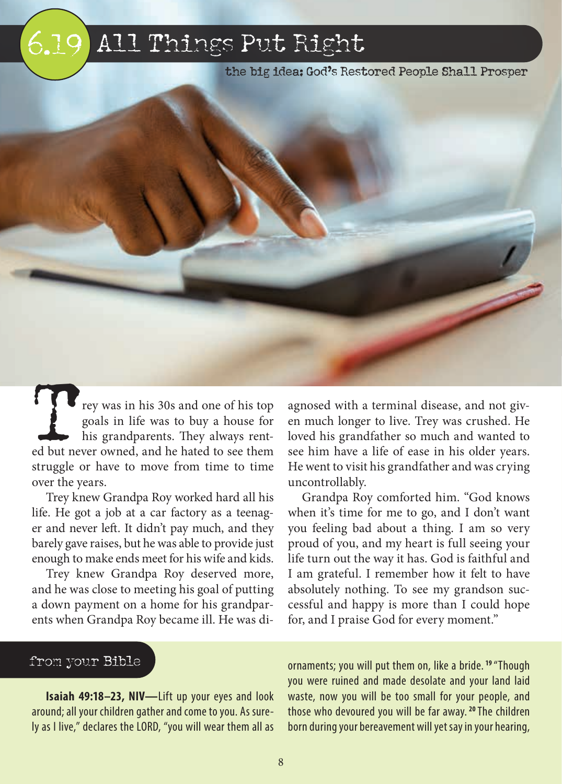# 5.19 6.19 All Things Put Right

the big idea: God's Restored People Shall Prosper

Trey was in his 30s and one of his top goals in life was to buy a house for his grandparents. They always rented but never owned, and he hated to see them goals in life was to buy a house for his grandparents. They always rentstruggle or have to move from time to time over the years.

Trey knew Grandpa Roy worked hard all his life. He got a job at a car factory as a teenager and never left. It didn't pay much, and they barely gave raises, but he was able to provide just enough to make ends meet for his wife and kids.

Trey knew Grandpa Roy deserved more, and he was close to meeting his goal of putting a down payment on a home for his grandparents when Grandpa Roy became ill. He was di-

agnosed with a terminal disease, and not given much longer to live. Trey was crushed. He loved his grandfather so much and wanted to see him have a life of ease in his older years. He went to visit his grandfather and was crying uncontrollably.

Grandpa Roy comforted him. "God knows when it's time for me to go, and I don't want you feeling bad about a thing. I am so very proud of you, and my heart is full seeing your life turn out the way it has. God is faithful and I am grateful. I remember how it felt to have absolutely nothing. To see my grandson successful and happy is more than I could hope for, and I praise God for every moment."

# from your Bible

**Isaiah 49:18–23, NIV—**Lift up your eyes and look around; all your children gather and come to you. As surely as I live," declares the LORD, "you will wear them all as

ornaments; you will put them on, like a bride. **19** "Though you were ruined and made desolate and your land laid waste, now you will be too small for your people, and those who devoured you will be far away. **20** The children born during your bereavement will yet say in your hearing,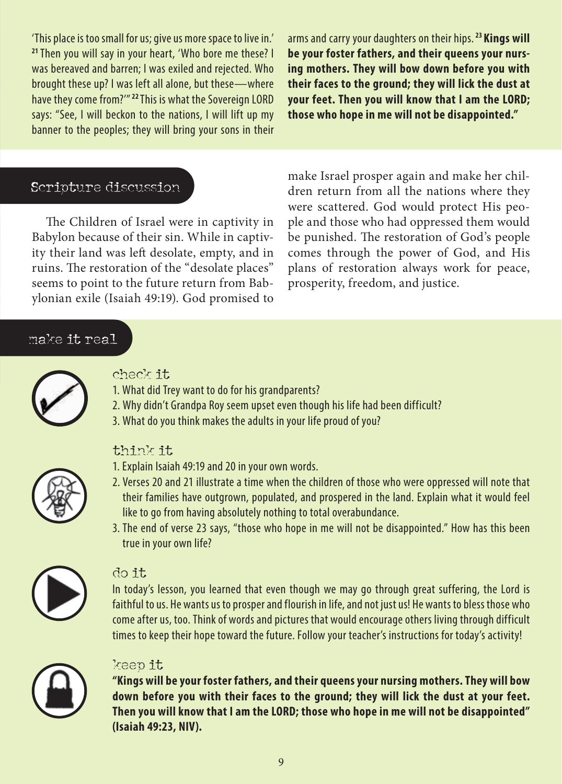'This place is too small for us; give us more space to live in.' **<sup>21</sup>**Then you will say in your heart, 'Who bore me these? I was bereaved and barren; I was exiled and rejected. Who brought these up? I was left all alone, but these—where have they come from?'" **22** This is what the Sovereign LORD says: "See, I will beckon to the nations, I will lift up my banner to the peoples; they will bring your sons in their

arms and carry your daughters on their hips. **23 Kings will be your foster fathers, and their queens your nursing mothers. They will bow down before you with their faces to the ground; they will lick the dust at your feet. Then you will know that I am the LORD; those who hope in me will not be disappointed."**

### Scripture discussion

The Children of Israel were in captivity in Babylon because of their sin. While in captivity their land was left desolate, empty, and in ruins. The restoration of the "desolate places" seems to point to the future return from Babylonian exile (Isaiah 49:19). God promised to make Israel prosper again and make her children return from all the nations where they were scattered. God would protect His people and those who had oppressed them would be punished. The restoration of God's people comes through the power of God, and His plans of restoration always work for peace, prosperity, freedom, and justice.

#### make it real



#### check it

- 1. What did Trey want to do for his grandparents?
- 2. Why didn't Grandpa Roy seem upset even though his life had been difficult?
- 3. What do you think makes the adults in your life proud of you?



# think it

- 1. Explain Isaiah 49:19 and 20 in your own words.
- 2. Verses 20 and 21 illustrate a time when the children of those who were oppressed will note that their families have outgrown, populated, and prospered in the land. Explain what it would feel like to go from having absolutely nothing to total overabundance.
- 3. The end of verse 23 says, "those who hope in me will not be disappointed." How has this been true in your own life?



#### do it

In today's lesson, you learned that even though we may go through great suffering, the Lord is faithful to us. He wants us to prosper and flourish in life, and not just us! He wants to bless those who come after us, too. Think of words and pictures that would encourage others living through difficult times to keep their hope toward the future. Follow your teacher's instructions for today's activity!



#### keep it

**"Kings will be your foster fathers, and their queens your nursing mothers. They will bow down before you with their faces to the ground; they will lick the dust at your feet. Then you will know that I am the LORD; those who hope in me will not be disappointed" (Isaiah 49:23, NIV).**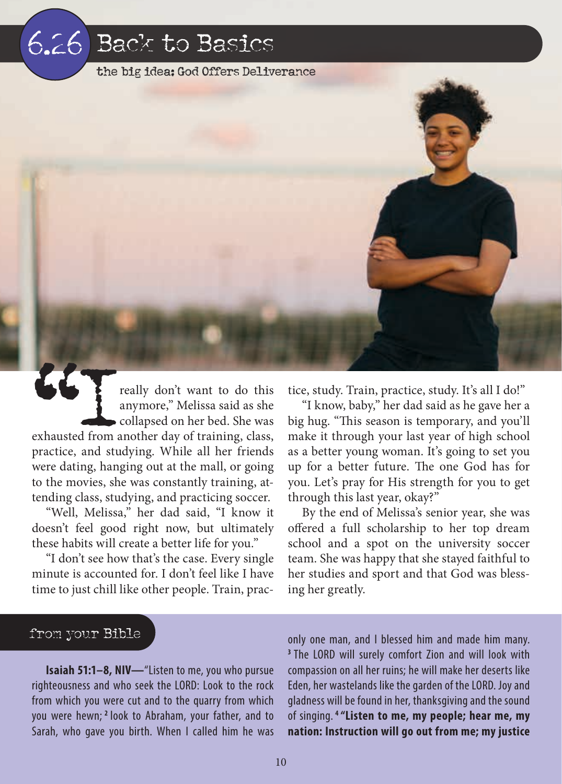# 9.4 6.26 Back to Basics

the big idea: God Offers Deliverance

The Teally don't want to do this anymore," Melissa said as she collapsed on her bed. She was exhausted from another day of training, class, anymore," Melissa said as she collapsed on her bed. She was practice, and studying. While all her friends were dating, hanging out at the mall, or going to the movies, she was constantly training, attending class, studying, and practicing soccer.

"Well, Melissa," her dad said, "I know it doesn't feel good right now, but ultimately these habits will create a better life for you."

"I don't see how that's the case. Every single minute is accounted for. I don't feel like I have time to just chill like other people. Train, practice, study. Train, practice, study. It's all I do!"

"I know, baby," her dad said as he gave her a big hug. "This season is temporary, and you'll make it through your last year of high school as a better young woman. It's going to set you up for a better future. The one God has for you. Let's pray for His strength for you to get through this last year, okay?"

By the end of Melissa's senior year, she was offered a full scholarship to her top dream school and a spot on the university soccer team. She was happy that she stayed faithful to her studies and sport and that God was blessing her greatly.

#### from your Bible

**Isaiah 51:1–8, NIV—**"Listen to me, you who pursue righteousness and who seek the LORD: Look to the rock from which you were cut and to the quarry from which you were hewn; **2** look to Abraham, your father, and to Sarah, who gave you birth. When I called him he was

only one man, and I blessed him and made him many. **<sup>3</sup>**The LORD will surely comfort Zion and will look with compassion on all her ruins; he will make her deserts like Eden, her wastelands like the garden of the LORD. Joy and gladness will be found in her, thanksgiving and the sound of singing. **4 "Listen to me, my people; hear me, my nation: Instruction will go out from me; my justice**